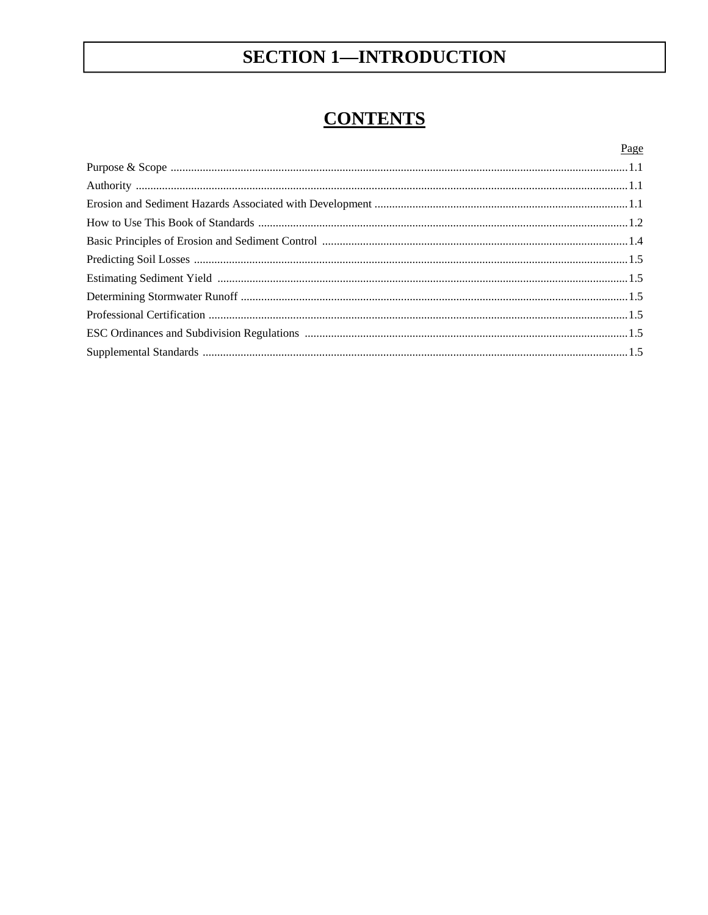# **SECTION 1-INTRODUCTION**

# **CONTENTS**

| Page |
|------|
|      |
|      |
|      |
|      |
|      |
|      |
|      |
|      |
|      |
|      |
|      |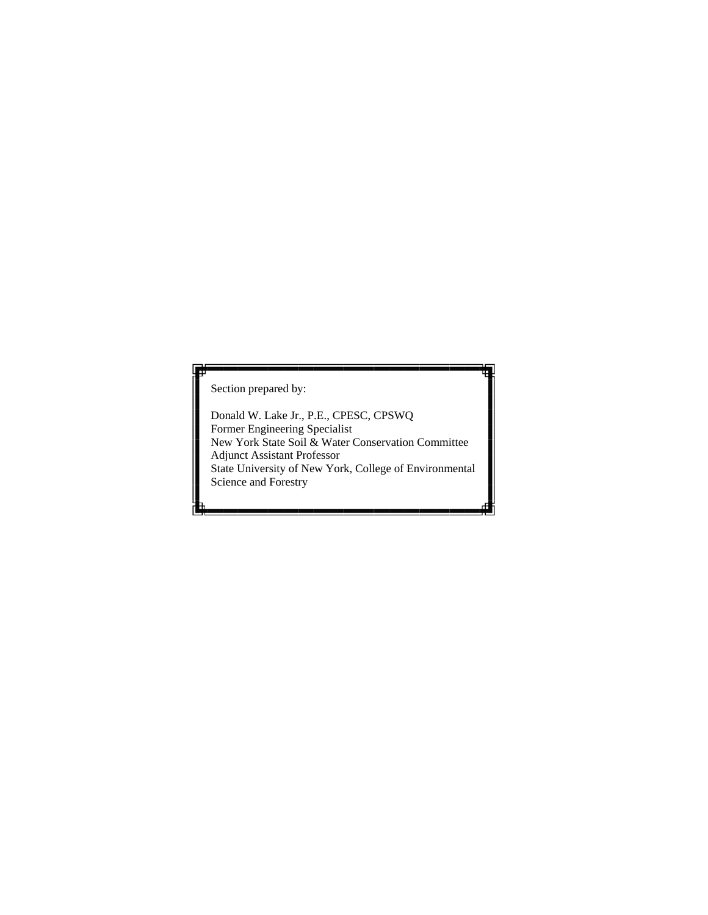Section prepared by:

 New York State Soil & Water Conservation Committee Donald W. Lake Jr., P.E., CPESC, CPSWQ Former Engineering Specialist Adjunct Assistant Professor State University of New York, College of Environmental Science and Forestry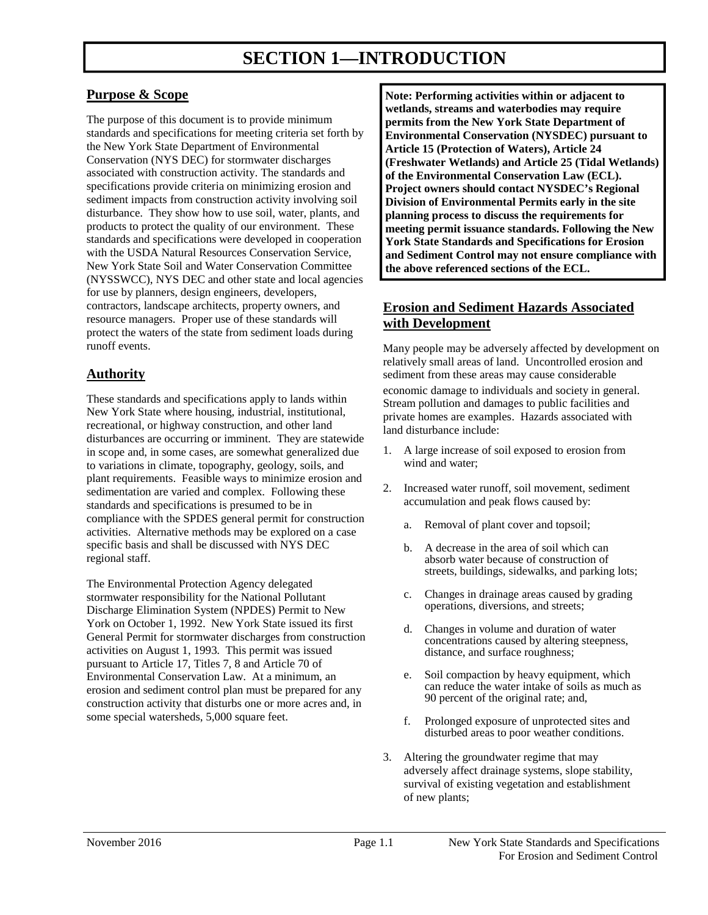# **Purpose & Scope**

 standards and specifications for meeting criteria set forth by specifications provide criteria on minimizing erosion and disturbance. They show how to use soil, water, plants, and products to protect the quality of our environment. These standards and specifications were developed in cooperation for use by planners, design engineers, developers, protect the waters of the state from sediment loads during The purpose of this document is to provide minimum the New York State Department of Environmental Conservation (NYS DEC) for stormwater discharges associated with construction activity. The standards and sediment impacts from construction activity involving soil with the USDA Natural Resources Conservation Service, New York State Soil and Water Conservation Committee (NYSSWCC), NYS DEC and other state and local agencies contractors, landscape architects, property owners, and resource managers. Proper use of these standards will runoff events.

## **Authority**

 These standards and specifications apply to lands within recreational, or highway construction, and other land disturbances are occurring or imminent. They are statewide in scope and, in some cases, are somewhat generalized due sedimentation are varied and complex. Following these specific basis and shall be discussed with NYS DEC New York State where housing, industrial, institutional, to variations in climate, topography, geology, soils, and plant requirements. Feasible ways to minimize erosion and standards and specifications is presumed to be in compliance with the SPDES general permit for construction activities. Alternative methods may be explored on a case regional staff.

 The Environmental Protection Agency delegated York on October 1, 1992. New York State issued its first General Permit for stormwater discharges from construction pursuant to Article 17, Titles 7, 8 and Article 70 of Environmental Conservation Law. At a minimum, an erosion and sediment control plan must be prepared for any stormwater responsibility for the National Pollutant Discharge Elimination System (NPDES) Permit to New activities on August 1, 1993. This permit was issued construction activity that disturbs one or more acres and, in some special watersheds, 5,000 square feet.

 **Project owners should contact NYSDEC's Regional Note: Performing activities within or adjacent to wetlands, streams and waterbodies may require permits from the New York State Department of Environmental Conservation (NYSDEC) pursuant to Article 15 (Protection of Waters), Article 24 (Freshwater Wetlands) and Article 25 (Tidal Wetlands) of the Environmental Conservation Law (ECL). Division of Environmental Permits early in the site planning process to discuss the requirements for meeting permit issuance standards. Following the New York State Standards and Specifications for Erosion and Sediment Control may not ensure compliance with the above referenced sections of the ECL.** 

# **Erosion and Sediment Hazards Associated with Development**

 Many people may be adversely affected by development on relatively small areas of land. Uncontrolled erosion and sediment from these areas may cause considerable

 Stream pollution and damages to public facilities and private homes are examples. Hazards associated with economic damage to individuals and society in general. land disturbance include:

- 1.A large increase of soil exposed to erosion from wind and water;
- 2. Increased water runoff, soil movement, sediment accumulation and peak flows caused by:
	- a. Removal of plant cover and topsoil;
	- b. A decrease in the area of soil which can absorb water because of construction of streets, buildings, sidewalks, and parking lots;
	- operations, diversions, and streets; c. Changes in drainage areas caused by grading
	- d. Changes in volume and duration of water concentrations caused by altering steepness, distance, and surface roughness;
	- 90 percent of the original rate; and, e. Soil compaction by heavy equipment, which can reduce the water intake of soils as much as
	- f. Prolonged exposure of unprotected sites and disturbed areas to poor weather conditions.
- 3.Altering the groundwater regime that may adversely affect drainage systems, slope stability, survival of existing vegetation and establishment of new plants;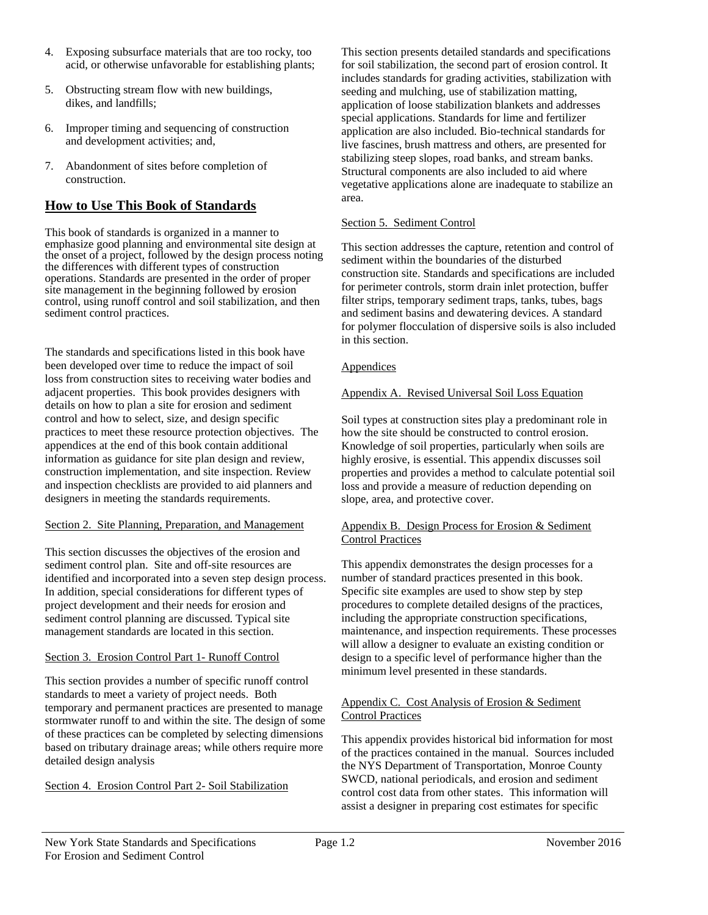- 4.Exposing subsurface materials that are too rocky, too acid, or otherwise unfavorable for establishing plants;
- dikes, and landfills; 5. Obstructing stream flow with new buildings,
- 6.Improper timing and sequencing of construction and development activities; and,
- 7.Abandonment of sites before completion of construction.

## **How to Use This Book of Standards**

 This book of standards is organized in a manner to the onset of a project, followed by the design process noting site management in the beginning followed by erosion emphasize good planning and environmental site design at the differences with different types of construction operations. Standards are presented in the order of proper control, using runoff control and soil stabilization, and then sediment control practices.

 The standards and specifications listed in this book have details on how to plan a site for erosion and sediment been developed over time to reduce the impact of soil loss from construction sites to receiving water bodies and adjacent properties. This book provides designers with control and how to select, size, and design specific practices to meet these resource protection objectives. The appendices at the end of this book contain additional information as guidance for site plan design and review, construction implementation, and site inspection. Review and inspection checklists are provided to aid planners and designers in meeting the standards requirements.

### Section 2. Site Planning, Preparation, and Management

 identified and incorporated into a seven step design process. sediment control planning are discussed. Typical site This section discusses the objectives of the erosion and sediment control plan. Site and off-site resources are In addition, special considerations for different types of project development and their needs for erosion and management standards are located in this section.

#### Section 3. Erosion Control Part 1- Runoff Control

 standards to meet a variety of project needs. Both detailed design analysis This section provides a number of specific runoff control temporary and permanent practices are presented to manage stormwater runoff to and within the site. The design of some of these practices can be completed by selecting dimensions based on tributary drainage areas; while others require more

Section 4. Erosion Control Part 2- Soil Stabilization

This section presents detailed standards and specifications for soil stabilization, the second part of erosion control. It includes standards for grading activities, stabilization with seeding and mulching, use of stabilization matting, application of loose stabilization blankets and addresses special applications. Standards for lime and fertilizer application are also included. Bio-technical standards for live fascines, brush mattress and others, are presented for stabilizing steep slopes, road banks, and stream banks. Structural components are also included to aid where vegetative applications alone are inadequate to stabilize an area.

#### Section 5. Sediment Control

 This section addresses the capture, retention and control of for perimeter controls, storm drain inlet protection, buffer and sediment basins and dewatering devices. A standard sediment within the boundaries of the disturbed construction site. Standards and specifications are included filter strips, temporary sediment traps, tanks, tubes, bags for polymer flocculation of dispersive soils is also included in this section.

#### Appendices

### Appendix A. Revised Universal Soil Loss Equation

 Soil types at construction sites play a predominant role in how the site should be constructed to control erosion. Knowledge of soil properties, particularly when soils are highly erosive, is essential. This appendix discusses soil properties and provides a method to calculate potential soil loss and provide a measure of reduction depending on slope, area, and protective cover.

### Appendix B. Design Process for Erosion & Sediment Control Practices

 This appendix demonstrates the design processes for a number of standard practices presented in this book. Specific site examples are used to show step by step procedures to complete detailed designs of the practices, including the appropriate construction specifications, maintenance, and inspection requirements. These processes will allow a designer to evaluate an existing condition or design to a specific level of performance higher than the minimum level presented in these standards.

#### Appendix C. Cost Analysis of Erosion & Sediment Control Practices

 This appendix provides historical bid information for most SWCD, national periodicals, and erosion and sediment control cost data from other states. This information will of the practices contained in the manual. Sources included the NYS Department of Transportation, Monroe County assist a designer in preparing cost estimates for specific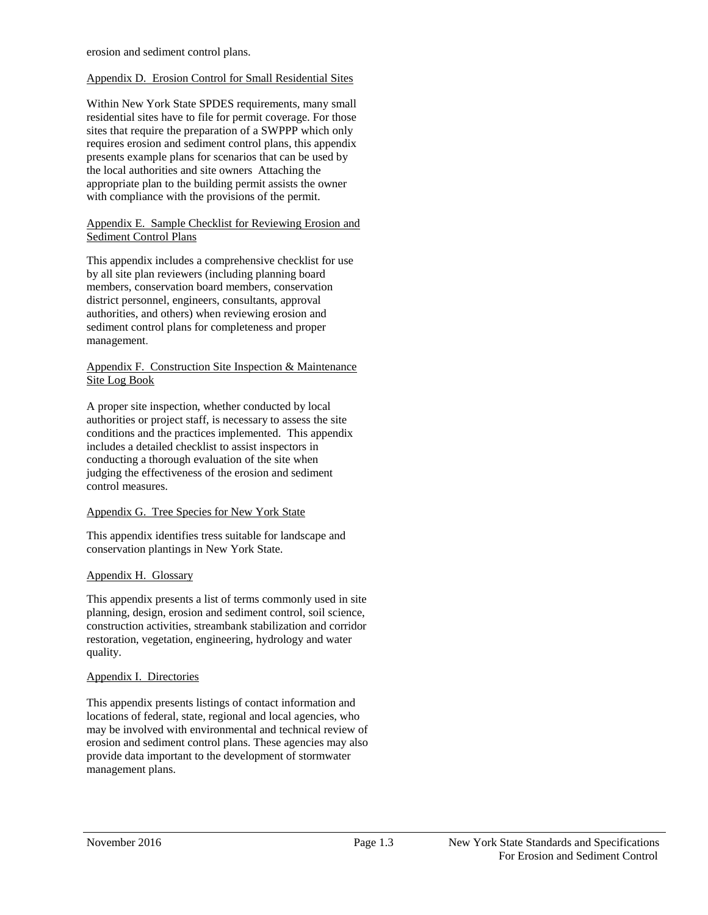erosion and sediment control plans.

#### Appendix D. Erosion Control for Small Residential Sites

 sites that require the preparation of a SWPPP which only requires erosion and sediment control plans, this appendix with compliance with the provisions of the permit. Within New York State SPDES requirements, many small residential sites have to file for permit coverage. For those presents example plans for scenarios that can be used by the local authorities and site owners Attaching the appropriate plan to the building permit assists the owner

#### Appendix E. Sample Checklist for Reviewing Erosion and Sediment Control Plans

 by all site plan reviewers (including planning board authorities, and others) when reviewing erosion and sediment control plans for completeness and proper This appendix includes a comprehensive checklist for use members, conservation board members, conservation district personnel, engineers, consultants, approval management

#### Appendix F. Construction Site Inspection & Maintenance Site Log Book

 authorities or project staff, is necessary to assess the site conditions and the practices implemented. This appendix conducting a thorough evaluation of the site when A proper site inspection, whether conducted by local includes a detailed checklist to assist inspectors in judging the effectiveness of the erosion and sediment control measures.

### Appendix G. Tree Species for New York State

This appendix identifies tress suitable for landscape and conservation plantings in New York State.

### Appendix H. Glossary

 restoration, vegetation, engineering, hydrology and water This appendix presents a list of terms commonly used in site planning, design, erosion and sediment control, soil science, construction activities, streambank stabilization and corridor quality.

### Appendix I. Directories

 may be involved with environmental and technical review of This appendix presents listings of contact information and locations of federal, state, regional and local agencies, who erosion and sediment control plans. These agencies may also provide data important to the development of stormwater management plans.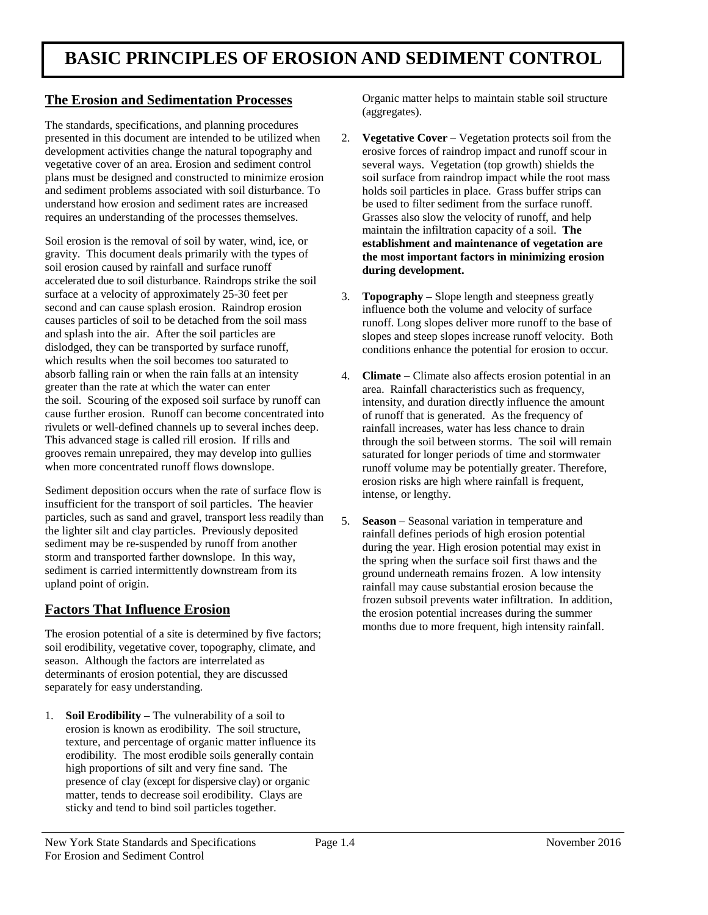# **The Erosion and Sedimentation Processes** Organic matter helps to maintain stable soil structure

 and sediment problems associated with soil disturbance. To holds soil particles in place. Grass buffer strips can The standards, specifications, and planning procedures presented in this document are intended to be utilized when 2. **Vegetative Cover** – Vegetation protects soil from the development activities change the natural topography and erosive forces of raindrop impact and runoff scour in vegetative cover of an area. Erosion and sediment control several ways. Vegetation (top growth) shields the plans must be designed and constructed to minimize erosion soil surface from raindrop impact while the root mass requires an understanding of the processes themselves. Grasses also slow the velocity of runoff, and help understand how erosion and sediment rates are increased

 causes particles of soil to be detached from the soil mass runoff. Long slopes deliver more runoff to the base of absorb falling rain or when the rain falls at an intensity 4. **Climate** – Climate also affects erosion potential in an This advanced stage is called rill erosion. If rills and through the soil between storms. The soil will remain when more concentrated runoff flows downslope. Therefore, runoff volume may be potentially greater. Therefore, gravity. This document deals primarily with the types of **the most important factors in minimizing erosion**  soil erosion caused by rainfall and surface runoff **during development.**  accelerated due to soil disturbance. Raindrops strike the soil surface at a velocity of approximately 25-30 feet per second and can cause splash erosion. Raindrop erosion influence both the volume and velocity of surface causes particles of soil to be detached from the soil mass and splash into the air. After the soil particles are dislodged, they can be transported by surface runoff, which results when the soil becomes too saturated to absorb falling rain or when the rain falls at an intensity greater than the rate at which the water can enter cause further erosion. Runoff can become concentrated into of runoff that is generated. As the frequency of This advanced stage is called rill erosion. If rills and grooves remain unrepaired, they may develop into gullies saturated for longer periods of time and stormwater Soil erosion is the removal of soil by water, wind, ice, or **establishment and maintenance of vegetation are**  the soil. Scouring of the exposed soil surface by runoff can rivulets or well-defined channels up to several inches deep.

Sediment deposition occurs when the rate of surface flow is particles, such as sand and gravel, transport less readily than the lighter silt and clay particles. Previously deposited sediment may be re-suspended by runoff from another storm and transported farther downslope. In this way, upland point of origin. Sediment deposition occurs when the rate of surface flow is erosion risks are high where rainfall is frequent, insufficient for the transport of soil particles. The heavier particles, such as sand and gravel, transport less readily than<br>the lighter silt and clay particles. Previously deposited<br>sediment may be re-suspended by runoff from another<br>storm and transported farther downslope. In this

 months due to more frequent, high intensity rainfall. The erosion potential of a site is determined by five factors; soil erodibility, vegetative cover, topography, climate, and season. Although the factors are interrelated as determinants of erosion potential, they are discussed separately for easy understanding.

 1. **Soil Erodibility** – The vulnerability of a soil to erosion is known as erodibility. The soil structure, texture, and percentage of organic matter influence its erodibility. The most erodible soils generally contain high proportions of silt and very fine sand. The matter, tends to decrease soil erodibility. Clays are presence of clay (except for dispersive clay) or organic sticky and tend to bind soil particles together.

(aggregates).

- be used to filter sediment from the surface runoff. Grasses also slow the velocity of runoff, and help maintain the infiltration capacity of a soil. **The**
- influence both the volume and velocity of surface 3. **Topography** – Slope length and steepness greatly slopes and steep slopes increase runoff velocity. Both conditions enhance the potential for erosion to occur.
- intensity, and duration directly influence the amount of runoff that is generated. As the frequency of rainfall increases, water has less chance to drain saturated for longer periods of time and stormwater intense, or lengthy. area. Rainfall characteristics such as frequency,
- the spring when the surface soil first thaws and the Factors That Influence Erosion **Factors That Influence Erosion the erosion potential increases during the summer** months due to more frequent, high intensity rainfall.